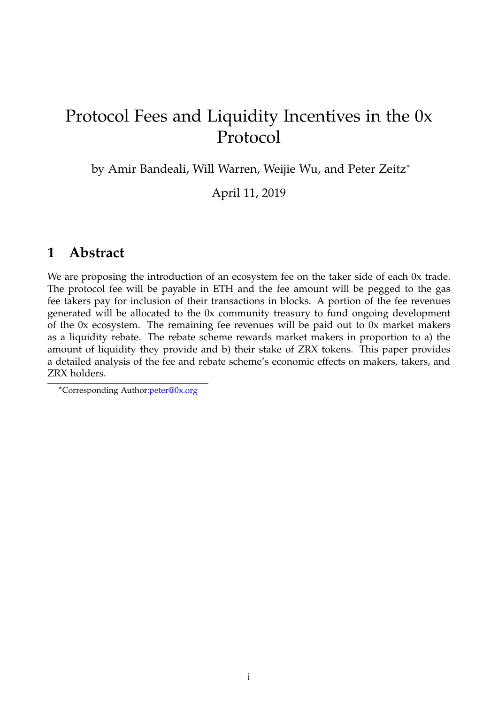# Protocol Fees and Liquidity Incentives in the 0x Protocol

by Amir Bandeali, Will Warren, Weijie Wu, and Peter Zeitz<sup>∗</sup>

April 11, 2019

## <span id="page-0-0"></span>**1 Abstract**

We are proposing the introduction of an ecosystem fee on the taker side of each 0x trade. The protocol fee will be payable in ETH and the fee amount will be pegged to the gas fee takers pay for inclusion of their transactions in blocks. A portion of the fee revenues generated will be allocated to the 0x community treasury to fund ongoing development of the 0x ecosystem. The remaining fee revenues will be paid out to 0x market makers as a liquidity rebate. The rebate scheme rewards market makers in proportion to a) the amount of liquidity they provide and b) their stake of ZRX tokens. This paper provides a detailed analysis of the fee and rebate scheme's economic effects on makers, takers, and ZRX holders.

<sup>∗</sup>Corresponding Author[:peter@0x.org](mailto:peter%400x.org)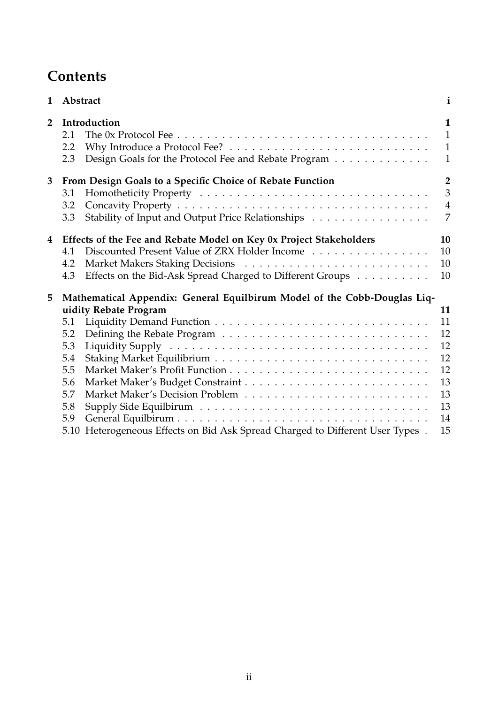# **Contents**

| $\mathbf{1}$   | Abstract                                                                 |                                                                               | $\mathbf{i}$   |
|----------------|--------------------------------------------------------------------------|-------------------------------------------------------------------------------|----------------|
| $\overline{2}$ | Introduction                                                             |                                                                               | $\mathbf{1}$   |
|                | 2.1                                                                      |                                                                               | $\mathbf{1}$   |
|                | 2.2                                                                      |                                                                               | $\mathbf{1}$   |
|                | 2.3                                                                      | Design Goals for the Protocol Fee and Rebate Program                          | $\mathbf{1}$   |
| 3              | From Design Goals to a Specific Choice of Rebate Function                |                                                                               |                |
|                | 3.1                                                                      |                                                                               | $\overline{3}$ |
|                | 3.2                                                                      |                                                                               | $\overline{4}$ |
|                | 3.3                                                                      | Stability of Input and Output Price Relationships                             | $\overline{7}$ |
| 4              | Effects of the Fee and Rebate Model on Key 0x Project Stakeholders       |                                                                               | 10             |
|                | 4.1                                                                      | Discounted Present Value of ZRX Holder Income                                 | 10             |
|                | 4.2                                                                      |                                                                               | 10             |
|                | 4.3                                                                      | Effects on the Bid-Ask Spread Charged to Different Groups                     | 10             |
| 5              | Mathematical Appendix: General Equilbirum Model of the Cobb-Douglas Liq- |                                                                               |                |
|                |                                                                          | uidity Rebate Program                                                         | 11             |
|                | 5.1                                                                      |                                                                               | 11             |
|                | 5.2                                                                      |                                                                               | 12             |
|                | 5.3                                                                      |                                                                               | 12             |
|                | 5.4                                                                      |                                                                               | 12             |
|                | 5.5                                                                      |                                                                               | 12             |
|                | 5.6                                                                      |                                                                               | 13             |
|                | 5.7                                                                      |                                                                               | 13             |
|                | 5.8                                                                      |                                                                               | 13             |
|                | 5.9                                                                      |                                                                               | 14             |
|                |                                                                          | 5.10 Heterogeneous Effects on Bid Ask Spread Charged to Different User Types. | 15             |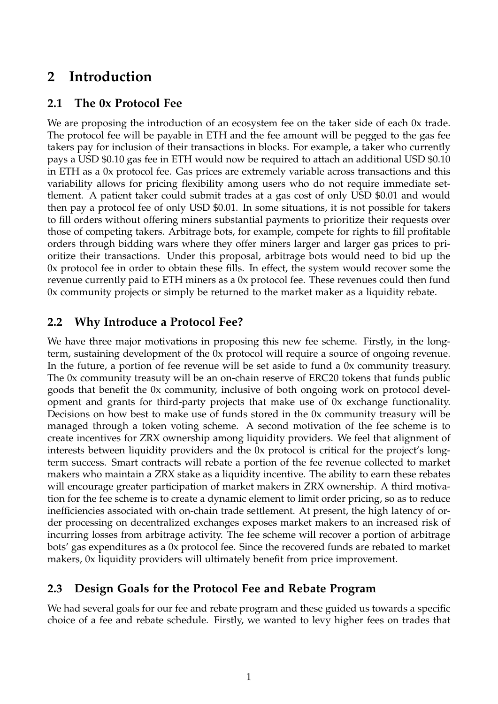## <span id="page-2-0"></span>**2 Introduction**

## <span id="page-2-1"></span>**2.1 The 0x Protocol Fee**

We are proposing the introduction of an ecosystem fee on the taker side of each 0x trade. The protocol fee will be payable in ETH and the fee amount will be pegged to the gas fee takers pay for inclusion of their transactions in blocks. For example, a taker who currently pays a USD \$0.10 gas fee in ETH would now be required to attach an additional USD \$0.10 in ETH as a 0x protocol fee. Gas prices are extremely variable across transactions and this variability allows for pricing flexibility among users who do not require immediate settlement. A patient taker could submit trades at a gas cost of only USD \$0.01 and would then pay a protocol fee of only USD \$0.01. In some situations, it is not possible for takers to fill orders without offering miners substantial payments to prioritize their requests over those of competing takers. Arbitrage bots, for example, compete for rights to fill profitable orders through bidding wars where they offer miners larger and larger gas prices to prioritize their transactions. Under this proposal, arbitrage bots would need to bid up the 0x protocol fee in order to obtain these fills. In effect, the system would recover some the revenue currently paid to ETH miners as a 0x protocol fee. These revenues could then fund 0x community projects or simply be returned to the market maker as a liquidity rebate.

## <span id="page-2-2"></span>**2.2 Why Introduce a Protocol Fee?**

We have three major motivations in proposing this new fee scheme. Firstly, in the longterm, sustaining development of the 0x protocol will require a source of ongoing revenue. In the future, a portion of fee revenue will be set aside to fund a 0x community treasury. The 0x community treasuty will be an on-chain reserve of ERC20 tokens that funds public goods that benefit the 0x community, inclusive of both ongoing work on protocol development and grants for third-party projects that make use of 0x exchange functionality. Decisions on how best to make use of funds stored in the 0x community treasury will be managed through a token voting scheme. A second motivation of the fee scheme is to create incentives for ZRX ownership among liquidity providers. We feel that alignment of interests between liquidity providers and the 0x protocol is critical for the project's longterm success. Smart contracts will rebate a portion of the fee revenue collected to market makers who maintain a ZRX stake as a liquidity incentive. The ability to earn these rebates will encourage greater participation of market makers in ZRX ownership. A third motivation for the fee scheme is to create a dynamic element to limit order pricing, so as to reduce inefficiencies associated with on-chain trade settlement. At present, the high latency of order processing on decentralized exchanges exposes market makers to an increased risk of incurring losses from arbitrage activity. The fee scheme will recover a portion of arbitrage bots' gas expenditures as a 0x protocol fee. Since the recovered funds are rebated to market makers, 0x liquidity providers will ultimately benefit from price improvement.

## <span id="page-2-3"></span>**2.3 Design Goals for the Protocol Fee and Rebate Program**

We had several goals for our fee and rebate program and these guided us towards a specific choice of a fee and rebate schedule. Firstly, we wanted to levy higher fees on trades that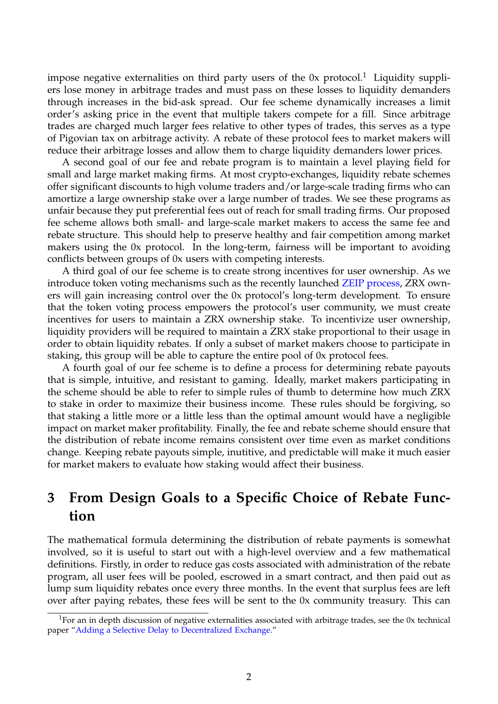impose negative externalities on third party users of the  $0x$  protocol.<sup>[1](#page-3-1)</sup> Liquidity suppliers lose money in arbitrage trades and must pass on these losses to liquidity demanders through increases in the bid-ask spread. Our fee scheme dynamically increases a limit order's asking price in the event that multiple takers compete for a fill. Since arbitrage trades are charged much larger fees relative to other types of trades, this serves as a type of Pigovian tax on arbitrage activity. A rebate of these protocol fees to market makers will reduce their arbitrage losses and allow them to charge liquidity demanders lower prices.

A second goal of our fee and rebate program is to maintain a level playing field for small and large market making firms. At most crypto-exchanges, liquidity rebate schemes offer significant discounts to high volume traders and/or large-scale trading firms who can amortize a large ownership stake over a large number of trades. We see these programs as unfair because they put preferential fees out of reach for small trading firms. Our proposed fee scheme allows both small- and large-scale market makers to access the same fee and rebate structure. This should help to preserve healthy and fair competition among market makers using the 0x protocol. In the long-term, fairness will be important to avoiding conflicts between groups of 0x users with competing interests.

A third goal of our fee scheme is to create strong incentives for user ownership. As we introduce token voting mechanisms such as the recently launched [ZEIP process,](https://blog.0xproject.com/0x-roadmap-part-1-zeips-d5cb8458584e) ZRX owners will gain increasing control over the 0x protocol's long-term development. To ensure that the token voting process empowers the protocol's user community, we must create incentives for users to maintain a ZRX ownership stake. To incentivize user ownership, liquidity providers will be required to maintain a ZRX stake proportional to their usage in order to obtain liquidity rebates. If only a subset of market makers choose to participate in staking, this group will be able to capture the entire pool of 0x protocol fees.

A fourth goal of our fee scheme is to define a process for determining rebate payouts that is simple, intuitive, and resistant to gaming. Ideally, market makers participating in the scheme should be able to refer to simple rules of thumb to determine how much ZRX to stake in order to maximize their business income. These rules should be forgiving, so that staking a little more or a little less than the optimal amount would have a negligible impact on market maker profitability. Finally, the fee and rebate scheme should ensure that the distribution of rebate income remains consistent over time even as market conditions change. Keeping rebate payouts simple, inutitive, and predictable will make it much easier for market makers to evaluate how staking would affect their business.

## <span id="page-3-0"></span>**3 From Design Goals to a Specific Choice of Rebate Function**

The mathematical formula determining the distribution of rebate payments is somewhat involved, so it is useful to start out with a high-level overview and a few mathematical definitions. Firstly, in order to reduce gas costs associated with administration of the rebate program, all user fees will be pooled, escrowed in a smart contract, and then paid out as lump sum liquidity rebates once every three months. In the event that surplus fees are left over after paying rebates, these fees will be sent to the 0x community treasury. This can

<span id="page-3-1"></span><sup>&</sup>lt;sup>1</sup>For an in depth discussion of negative externalities associated with arbitrage trades, see the 0x technical paper ["Adding a Selective Delay to Decentralized Exchange.](https://drive.google.com/file/d/1G0POZjloIasrP2x3Iice1IWlMfdKBmgf/view)"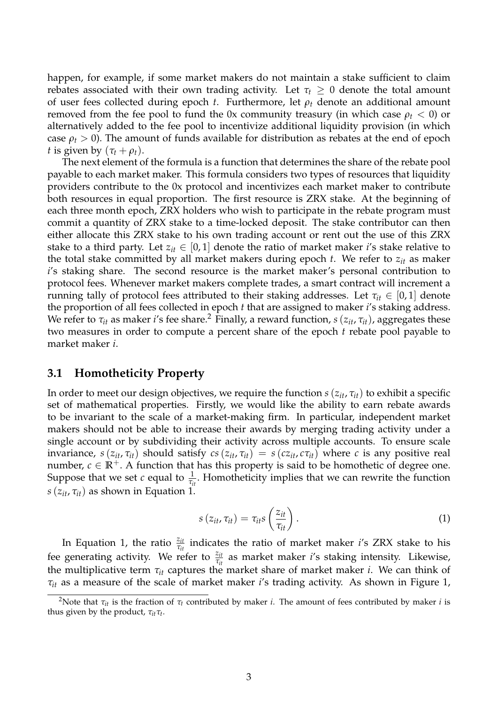happen, for example, if some market makers do not maintain a stake sufficient to claim rebates associated with their own trading activity. Let  $\tau_t \geq 0$  denote the total amount of user fees collected during epoch *t*. Furthermore, let *ρ<sup>t</sup>* denote an additional amount removed from the fee pool to fund the 0x community treasury (in which case  $\rho_t < 0$ ) or alternatively added to the fee pool to incentivize additional liquidity provision (in which case  $\rho_t > 0$ ). The amount of funds available for distribution as rebates at the end of epoch *t* is given by  $(\tau_t + \rho_t)$ .

The next element of the formula is a function that determines the share of the rebate pool payable to each market maker. This formula considers two types of resources that liquidity providers contribute to the 0x protocol and incentivizes each market maker to contribute both resources in equal proportion. The first resource is ZRX stake. At the beginning of each three month epoch, ZRX holders who wish to participate in the rebate program must commit a quantity of ZRX stake to a time-locked deposit. The stake contributor can then either allocate this ZRX stake to his own trading account or rent out the use of this ZRX stake to a third party. Let  $z_{it} \in [0,1]$  denote the ratio of market maker *i*'s stake relative to the total stake committed by all market makers during epoch *t*. We refer to *zit* as maker *i*'s staking share. The second resource is the market maker's personal contribution to protocol fees. Whenever market makers complete trades, a smart contract will increment a running tally of protocol fees attributed to their staking addresses. Let  $\tau_{it} \in [0,1]$  denote the proportion of all fees collected in epoch *t* that are assigned to maker *i*'s staking address. We refer to  $\tau_{it}$  as maker *i*'s fee share.<sup>[2](#page-4-1)</sup> Finally, a reward function,  $s(z_{it}, \tau_{it})$ , aggregates these two measures in order to compute a percent share of the epoch *t* rebate pool payable to market maker *i*.

#### <span id="page-4-0"></span>**3.1 Homotheticity Property**

In order to meet our design objectives, we require the function  $s(z_{it}, \tau_{it})$  to exhibit a specific set of mathematical properties. Firstly, we would like the ability to earn rebate awards to be invariant to the scale of a market-making firm. In particular, independent market makers should not be able to increase their awards by merging trading activity under a single account or by subdividing their activity across multiple accounts. To ensure scale invariance,  $s(z_{it}, \tau_{it})$  should satisfy  $cs(z_{it}, \tau_{it}) = s(cz_{it}, c\tau_{it})$  where *c* is any positive real number,  $c \in \mathbb{R}^+$ . A function that has this property is said to be homothetic of degree one. Suppose that we set *c* equal to  $\frac{1}{\tau_{it}}$ . Homotheticity implies that we can rewrite the function *s*( $z_{it}$ ,  $\tau_{it}$ ) as shown in Equation 1.

$$
s(z_{it}, \tau_{it}) = \tau_{it} s\left(\frac{z_{it}}{\tau_{it}}\right). \tag{1}
$$

In Equation 1, the ratio  $\frac{z_{it}}{\tau_{it}}$  indicates the ratio of market maker *i*'s ZRX stake to his fee generating activity. We refer to  $\frac{z_{it}}{\tau_{it}}$  as market maker *i*'s staking intensity. Likewise, the multiplicative term *τit* captures the market share of market maker *i*. We can think of *τit* as a measure of the scale of market maker *i*'s trading activity. As shown in Figure 1,

<span id="page-4-1"></span><sup>&</sup>lt;sup>2</sup>Note that  $\tau_{it}$  is the fraction of  $\tau_t$  contributed by maker *i*. The amount of fees contributed by maker *i* is thus given by the product, *τitτ<sup>t</sup>* .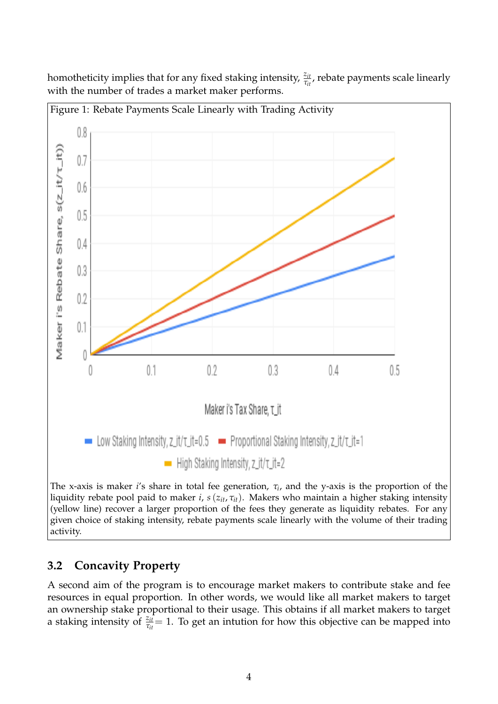Figure 1: Rebate Payments Scale Linearly with Trading Activity  $0.8$ Maker i's Rebate Share, s(z\_it/r\_it))  $0.7$  $0.6$  $0.5$  $0.4$  $0.3$  $0.2$  $0.1$ 0  $0.2$  $0.1$  $0.3$  $0.4$  $0.5$ 0 Maker i's Tax Share, T\_it Low Staking Intensity, z\_it/t\_it=0.5 - Proportional Staking Intensity, z\_it/t\_it=1  $\blacksquare$  High Staking Intensity, z\_it/ $\tau$ \_it=2

homotheticity implies that for any fixed staking intensity,  $\frac{z_{it}}{\tau_{it}}$ , rebate payments scale linearly with the number of trades a market maker performs.

The x-axis is maker *i*'s share in total fee generation, *τ<sup>i</sup>* , and the y-axis is the proportion of the liquidity rebate pool paid to maker *i*, *s*(*zit*, *τit*). Makers who maintain a higher staking intensity (yellow line) recover a larger proportion of the fees they generate as liquidity rebates. For any given choice of staking intensity, rebate payments scale linearly with the volume of their trading activity.

## <span id="page-5-0"></span>**3.2 Concavity Property**

A second aim of the program is to encourage market makers to contribute stake and fee resources in equal proportion. In other words, we would like all market makers to target an ownership stake proportional to their usage. This obtains if all market makers to target a staking intensity of  $\frac{z_{it}}{\tau_{it}} = 1$ . To get an intution for how this objective can be mapped into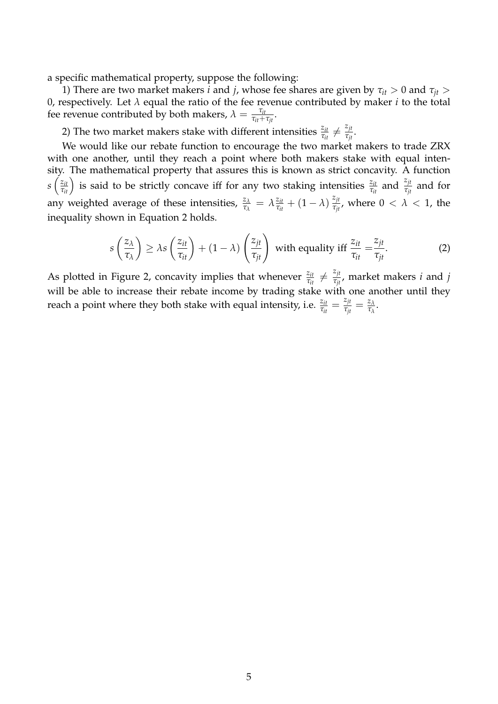a specific mathematical property, suppose the following:

1) There are two market makers *i* and *j*, whose fee shares are given by  $\tau_{it} > 0$  and  $\tau_{jt} > 0$ 0, respectively. Let *λ* equal the ratio of the fee revenue contributed by maker *i* to the total fee revenue contributed by both makers,  $\lambda = \frac{\tau_{it}}{\tau_{it} + \tau_{it}}$  $\frac{t_{it}}{\tau_{it}+\tau_{jt}}$ .

2) The two market makers stake with different intensities  $\frac{z_{it}}{\tau_{it}} \neq \frac{z_{jt}}{\tau_{it}}$  $\frac{z_{jt}}{\tau_{jt}}$ .

We would like our rebate function to encourage the two market makers to trade ZRX with one another, until they reach a point where both makers stake with equal intensity. The mathematical property that assures this is known as strict concavity. A function *s*  $\left(\frac{z_{it}}{\tau_{it}}\right)$  is said to be strictly concave iff for any two staking intensities  $\frac{z_{it}}{\tau_{it}}$  and  $\frac{z_{jt}}{\tau_{jt}}$  and for any weighted average of these intensities,  $\frac{z_{\lambda}}{\tau_{\lambda}} = \lambda \frac{z_{it}}{\tau_{it}}$  $\frac{z_{it}}{\tau_{it}} + (1-\lambda) \, \frac{z_{jt}}{\tau_{jt}}$ *τjt* , where 0 < *λ* < 1, the inequality shown in Equation 2 holds.

$$
s\left(\frac{z_{\lambda}}{\tau_{\lambda}}\right) \geq \lambda s\left(\frac{z_{it}}{\tau_{it}}\right) + (1-\lambda)\left(\frac{z_{jt}}{\tau_{jt}}\right) \text{ with equality iff } \frac{z_{it}}{\tau_{it}} = \frac{z_{jt}}{\tau_{jt}}.
$$
 (2)

As plotted in Figure 2, concavity implies that whenever  $\frac{z_{it}}{\tau_{it}} \neq \frac{z_{jt}}{\tau_{jt}}$ *τjt* , market makers *i* and *j* will be able to increase their rebate income by trading stake with one another until they reach a point where they both stake with equal intensity, i.e.  $\frac{z_{it}}{\tau_{it}} = \frac{z_{jt}}{\tau_{jt}}$  $\frac{z_{jt}}{\tau_{jt}} = \frac{z_{\lambda}}{\tau_{\lambda}}$ *τλ* .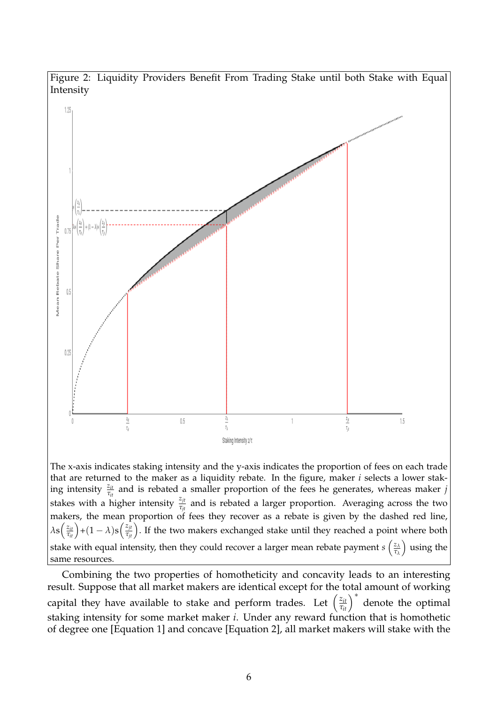

The x-axis indicates staking intensity and the y-axis indicates the proportion of fees on each trade that are returned to the maker as a liquidity rebate. In the figure, maker *i* selects a lower staking intensity  $\frac{z_{it}}{\tau_{it}}$  and is rebated a smaller proportion of the fees he generates, whereas maker *j* stakes with a higher intensity  $\frac{z_{jt}}{\tau_{jt}}$  and is rebated a larger proportion. Averaging across the two makers, the mean proportion of fees they recover as a rebate is given by the dashed red line,  $\lambda s\Big(\frac{z_{it}}{\tau_{it}}\Big)+(1-\lambda)s\Big(\frac{z_{jt}}{\tau_{jt}}\Big).$  If the two makers exchanged stake until they reached a point where both stake with equal intensity, then they could recover a larger mean rebate payment  $s\left(\frac{z_{\lambda}}{\tau_{\lambda}}\right)$ *τλ* using the same resources.

Combining the two properties of homotheticity and concavity leads to an interesting result. Suppose that all market makers are identical except for the total amount of working capital they have available to stake and perform trades. Let  $\left(\frac{z_{it}}{\tau_{it}}\right)^*$ denote the optimal staking intensity for some market maker *i*. Under any reward function that is homothetic of degree one [Equation 1] and concave [Equation 2], all market makers will stake with the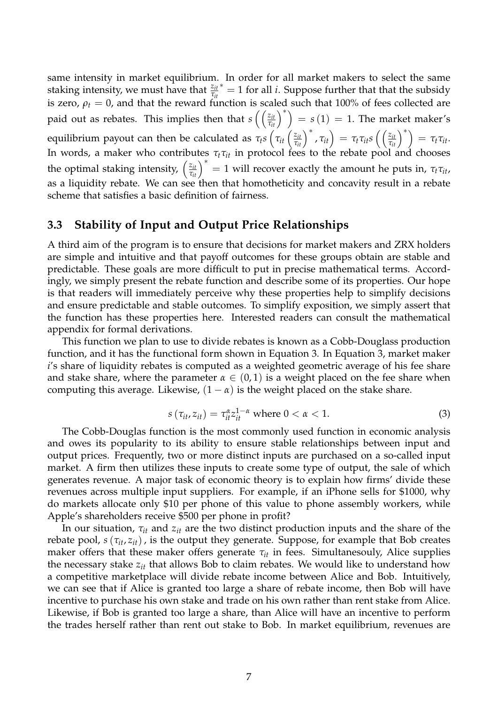same intensity in market equilibrium. In order for all market makers to select the same staking intensity, we must have that  $\frac{z_{it}}{\tau_{it}}$  = 1 for all *i*. Suppose further that that the subsidy is zero,  $\rho_t = 0$ , and that the reward function is scaled such that 100% of fees collected are paid out as rebates. This implies then that  $s\left(\left(\frac{z_{it}}{\tau_{it}}\right)^*\right) = s(1) = 1$ . The market maker's equilibrium payout can then be calculated as  $\tau_t s\left(\tau_{it}\left(\frac{z_{it}}{\tau_{it}}\right)^*,\tau_{it}\right) = \tau_t \tau_{it} s\left(\left(\frac{z_{it}}{\tau_{it}}\right)^*\right) = \tau_t \tau_{it}.$ In words, a maker who contributes  $\tau_t\tau_{it}$  in protocol fees to the rebate pool and chooses the optimal staking intensity,  $\left(\frac{z_{it}}{\tau_{it}}\right)^* = 1$  will recover exactly the amount he puts in,  $\tau_t \tau_{it}$ , as a liquidity rebate. We can see then that homotheticity and concavity result in a rebate scheme that satisfies a basic definition of fairness.

#### <span id="page-8-0"></span>**3.3 Stability of Input and Output Price Relationships**

A third aim of the program is to ensure that decisions for market makers and ZRX holders are simple and intuitive and that payoff outcomes for these groups obtain are stable and predictable. These goals are more difficult to put in precise mathematical terms. Accordingly, we simply present the rebate function and describe some of its properties. Our hope is that readers will immediately perceive why these properties help to simplify decisions and ensure predictable and stable outcomes. To simplify exposition, we simply assert that the function has these properties here. Interested readers can consult the mathematical appendix for formal derivations.

This function we plan to use to divide rebates is known as a Cobb-Douglass production function, and it has the functional form shown in Equation 3. In Equation 3, market maker *i*'s share of liquidity rebates is computed as a weighted geometric average of his fee share and stake share, where the parameter  $\alpha \in (0,1)$  is a weight placed on the fee share when computing this average. Likewise,  $(1 - \alpha)$  is the weight placed on the stake share.

$$
s\left(\tau_{it}, z_{it}\right) = \tau_{it}^{\alpha} z_{it}^{1-\alpha} \text{ where } 0 < \alpha < 1. \tag{3}
$$

The Cobb-Douglas function is the most commonly used function in economic analysis and owes its popularity to its ability to ensure stable relationships between input and output prices. Frequently, two or more distinct inputs are purchased on a so-called input market. A firm then utilizes these inputs to create some type of output, the sale of which generates revenue. A major task of economic theory is to explain how firms' divide these revenues across multiple input suppliers. For example, if an iPhone sells for \$1000, why do markets allocate only \$10 per phone of this value to phone assembly workers, while Apple's shareholders receive \$500 per phone in profit?

In our situation, *τit* and *zit* are the two distinct production inputs and the share of the rebate pool,  $s(\tau_{it}, z_{it})$ , is the output they generate. Suppose, for example that Bob creates maker offers that these maker offers generate  $\tau_{it}$  in fees. Simultanesouly, Alice supplies the necessary stake *zit* that allows Bob to claim rebates. We would like to understand how a competitive marketplace will divide rebate income between Alice and Bob. Intuitively, we can see that if Alice is granted too large a share of rebate income, then Bob will have incentive to purchase his own stake and trade on his own rather than rent stake from Alice. Likewise, if Bob is granted too large a share, than Alice will have an incentive to perform the trades herself rather than rent out stake to Bob. In market equilibrium, revenues are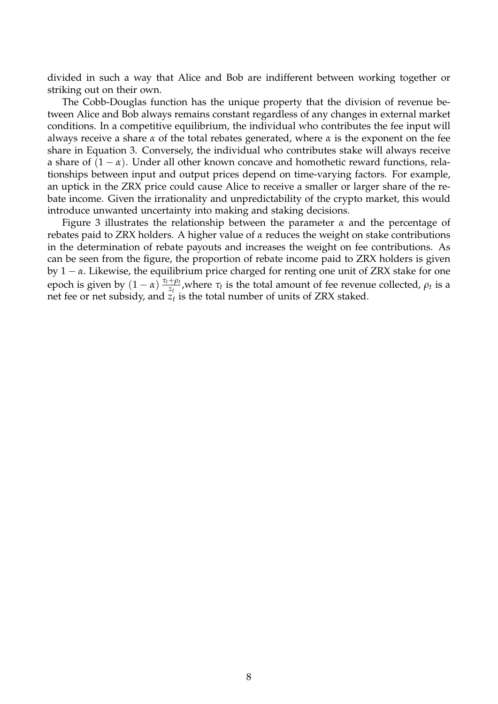divided in such a way that Alice and Bob are indifferent between working together or striking out on their own.

The Cobb-Douglas function has the unique property that the division of revenue between Alice and Bob always remains constant regardless of any changes in external market conditions. In a competitive equilibrium, the individual who contributes the fee input will always receive a share *α* of the total rebates generated, where *α* is the exponent on the fee share in Equation 3. Conversely, the individual who contributes stake will always receive a share of  $(1 - \alpha)$ . Under all other known concave and homothetic reward functions, relationships between input and output prices depend on time-varying factors. For example, an uptick in the ZRX price could cause Alice to receive a smaller or larger share of the rebate income. Given the irrationality and unpredictability of the crypto market, this would introduce unwanted uncertainty into making and staking decisions.

Figure 3 illustrates the relationship between the parameter *α* and the percentage of rebates paid to ZRX holders. A higher value of *α* reduces the weight on stake contributions in the determination of rebate payouts and increases the weight on fee contributions. As can be seen from the figure, the proportion of rebate income paid to ZRX holders is given by 1 − *α*. Likewise, the equilibrium price charged for renting one unit of ZRX stake for one epoch is given by  $(1 - \alpha) \frac{\tau_t + \rho_t}{z_t}$ *z*<sup>*t*</sup></sup><sub>*z*<sup>*t*</sup></sup>, where *τ*<sup>*t*</sup> is the total amount of fee revenue collected, *ρ*<sup>*t*</sup> is a</sub> net fee or net subsidy, and  $z_t$  is the total number of units of ZRX staked.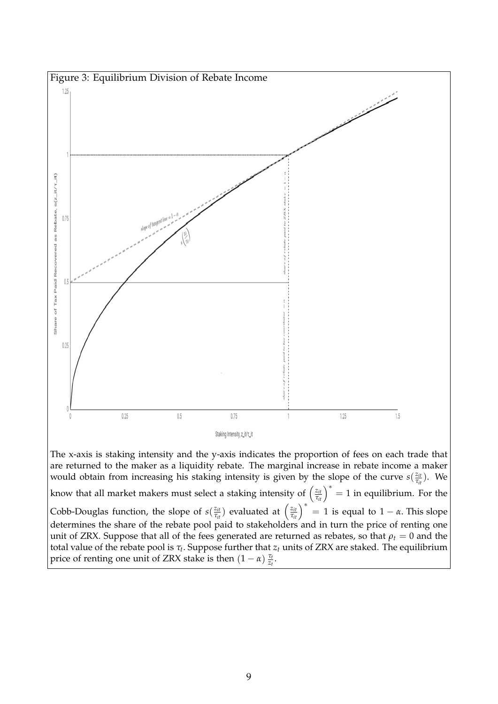

would obtain from increasing his staking intensity is given by the slope of the curve  $s(\frac{z_i}{z_i})$  $\frac{z_{it}}{\tau_{it}}$ ). We know that all market makers must select a staking intensity of  $\left(\frac{z_{it}}{\tau_{it}}\right)^* = 1$  in equilibrium. For the Cobb-Douglas function, the slope of  $s(\frac{z_{it}}{z_{it}})$  $(z_{it})$  evaluated at  $(z_{it})^*$  = 1 is equal to 1 − *α*. This slope determines the share of the rebate pool paid to stakeholders and in turn the price of renting one unit of ZRX. Suppose that all of the fees generated are returned as rebates, so that  $\rho_t = 0$  and the total value of the rebate pool is *τ<sup>t</sup>* . Suppose further that *z<sup>t</sup>* units of ZRX are staked. The equilibrium price of renting one unit of ZRX stake is then  $(1 - \alpha) \frac{\tau_t}{z_t}$ .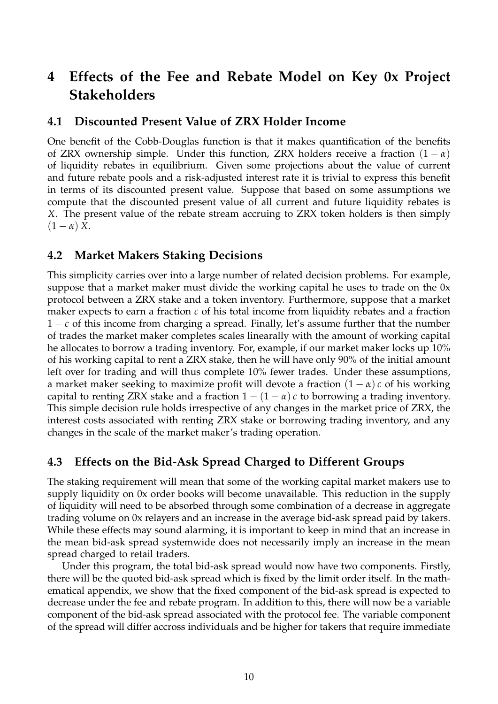## <span id="page-11-0"></span>**4 Effects of the Fee and Rebate Model on Key 0x Project Stakeholders**

### <span id="page-11-1"></span>**4.1 Discounted Present Value of ZRX Holder Income**

One benefit of the Cobb-Douglas function is that it makes quantification of the benefits of ZRX ownership simple. Under this function, ZRX holders receive a fraction  $(1 - \alpha)$ of liquidity rebates in equilibrium. Given some projections about the value of current and future rebate pools and a risk-adjusted interest rate it is trivial to express this benefit in terms of its discounted present value. Suppose that based on some assumptions we compute that the discounted present value of all current and future liquidity rebates is *X*. The present value of the rebate stream accruing to ZRX token holders is then simply  $(1 - \alpha) X$ .

### <span id="page-11-2"></span>**4.2 Market Makers Staking Decisions**

This simplicity carries over into a large number of related decision problems. For example, suppose that a market maker must divide the working capital he uses to trade on the 0x protocol between a ZRX stake and a token inventory. Furthermore, suppose that a market maker expects to earn a fraction *c* of his total income from liquidity rebates and a fraction 1 − *c* of this income from charging a spread. Finally, let's assume further that the number of trades the market maker completes scales linearally with the amount of working capital he allocates to borrow a trading inventory. For, example, if our market maker locks up 10% of his working capital to rent a ZRX stake, then he will have only 90% of the initial amount left over for trading and will thus complete 10% fewer trades. Under these assumptions, a market maker seeking to maximize profit will devote a fraction  $(1 - \alpha) c$  of his working capital to renting ZRX stake and a fraction  $1 - (1 - \alpha) c$  to borrowing a trading inventory. This simple decision rule holds irrespective of any changes in the market price of ZRX, the interest costs associated with renting ZRX stake or borrowing trading inventory, and any changes in the scale of the market maker's trading operation.

## <span id="page-11-3"></span>**4.3 Effects on the Bid-Ask Spread Charged to Different Groups**

The staking requirement will mean that some of the working capital market makers use to supply liquidity on 0x order books will become unavailable. This reduction in the supply of liquidity will need to be absorbed through some combination of a decrease in aggregate trading volume on 0x relayers and an increase in the average bid-ask spread paid by takers. While these effects may sound alarming, it is important to keep in mind that an increase in the mean bid-ask spread systemwide does not necessarily imply an increase in the mean spread charged to retail traders.

Under this program, the total bid-ask spread would now have two components. Firstly, there will be the quoted bid-ask spread which is fixed by the limit order itself. In the mathematical appendix, we show that the fixed component of the bid-ask spread is expected to decrease under the fee and rebate program. In addition to this, there will now be a variable component of the bid-ask spread associated with the protocol fee. The variable component of the spread will differ accross individuals and be higher for takers that require immediate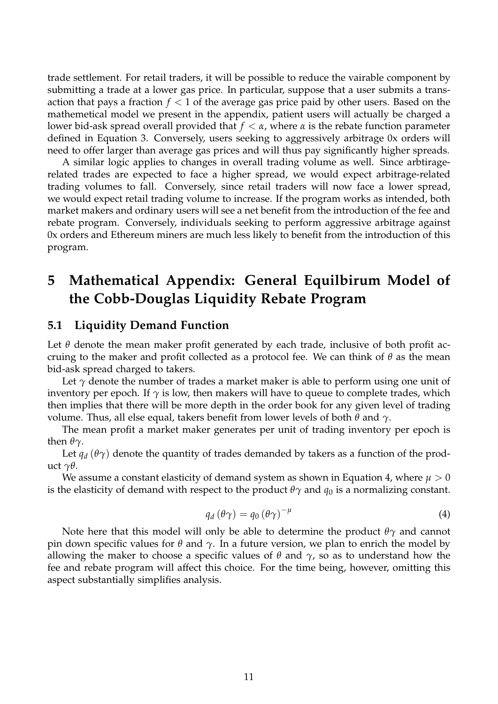trade settlement. For retail traders, it will be possible to reduce the vairable component by submitting a trade at a lower gas price. In particular, suppose that a user submits a transaction that pays a fraction  $f < 1$  of the average gas price paid by other users. Based on the mathemetical model we present in the appendix, patient users will actually be charged a lower bid-ask spread overall provided that *f* < *α*, where *α* is the rebate function parameter defined in Equation 3. Conversely, users seeking to aggressively arbitrage 0x orders will need to offer larger than average gas prices and will thus pay significantly higher spreads.

A similar logic applies to changes in overall trading volume as well. Since arbtiragerelated trades are expected to face a higher spread, we would expect arbitrage-related trading volumes to fall. Conversely, since retail traders will now face a lower spread, we would expect retail trading volume to increase. If the program works as intended, both market makers and ordinary users will see a net benefit from the introduction of the fee and rebate program. Conversely, individuals seeking to perform aggressive arbitrage against 0x orders and Ethereum miners are much less likely to benefit from the introduction of this program.

## <span id="page-12-0"></span>**5 Mathematical Appendix: General Equilbirum Model of the Cobb-Douglas Liquidity Rebate Program**

#### <span id="page-12-1"></span>**5.1 Liquidity Demand Function**

Let  $\theta$  denote the mean maker profit generated by each trade, inclusive of both profit accruing to the maker and profit collected as a protocol fee. We can think of *θ* as the mean bid-ask spread charged to takers.

Let  $\gamma$  denote the number of trades a market maker is able to perform using one unit of inventory per epoch. If  $\gamma$  is low, then makers will have to queue to complete trades, which then implies that there will be more depth in the order book for any given level of trading volume. Thus, all else equal, takers benefit from lower levels of both *θ* and *γ*.

The mean profit a market maker generates per unit of trading inventory per epoch is then *θγ*.

Let  $q_d$  ( $\theta\gamma$ ) denote the quantity of trades demanded by takers as a function of the product *γθ*.

We assume a constant elasticity of demand system as shown in Equation 4, where  $\mu > 0$ is the elasticity of demand with respect to the product  $\theta\gamma$  and  $q_0$  is a normalizing constant.

$$
q_d(\theta \gamma) = q_0(\theta \gamma)^{-\mu} \tag{4}
$$

Note here that this model will only be able to determine the product *θγ* and cannot pin down specific values for *θ* and  $\gamma$ . In a future version, we plan to enrich the model by allowing the maker to choose a specific values of  $\theta$  and  $\gamma$ , so as to understand how the fee and rebate program will affect this choice. For the time being, however, omitting this aspect substantially simplifies analysis.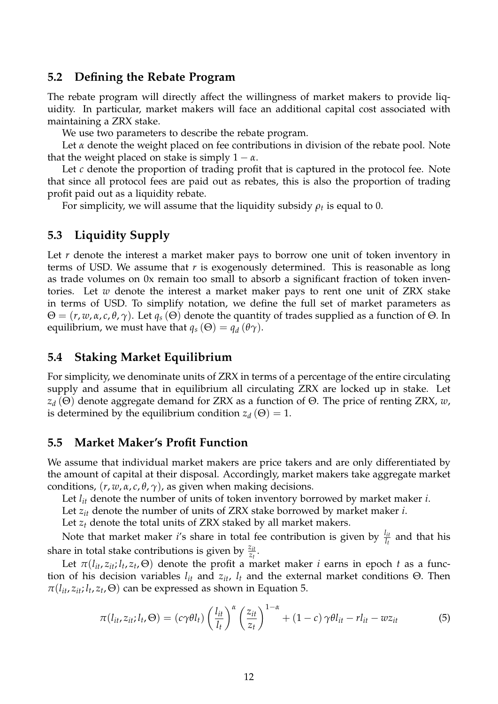### <span id="page-13-0"></span>**5.2 Defining the Rebate Program**

The rebate program will directly affect the willingness of market makers to provide liquidity. In particular, market makers will face an additional capital cost associated with maintaining a ZRX stake.

We use two parameters to describe the rebate program.

Let  $\alpha$  denote the weight placed on fee contributions in division of the rebate pool. Note that the weight placed on stake is simply  $1 - \alpha$ .

Let *c* denote the proportion of trading profit that is captured in the protocol fee. Note that since all protocol fees are paid out as rebates, this is also the proportion of trading profit paid out as a liquidity rebate.

For simplicity, we will assume that the liquidity subsidy  $\rho_t$  is equal to 0.

### <span id="page-13-1"></span>**5.3 Liquidity Supply**

Let *r* denote the interest a market maker pays to borrow one unit of token inventory in terms of USD. We assume that *r* is exogenously determined. This is reasonable as long as trade volumes on 0x remain too small to absorb a significant fraction of token inventories. Let *w* denote the interest a market maker pays to rent one unit of ZRX stake in terms of USD. To simplify notation, we define the full set of market parameters as  $\Theta = (r, w, \alpha, c, \theta, \gamma)$ . Let  $q_s(\Theta)$  denote the quantity of trades supplied as a function of  $\Theta$ . In equilibrium, we must have that  $q_s(\Theta) = q_d(\theta \gamma)$ .

### <span id="page-13-2"></span>**5.4 Staking Market Equilibrium**

For simplicity, we denominate units of ZRX in terms of a percentage of the entire circulating supply and assume that in equilibrium all circulating ZRX are locked up in stake. Let *z<sup>d</sup>* (Θ) denote aggregate demand for ZRX as a function of Θ. The price of renting ZRX, *w*, is determined by the equilibrium condition  $z_d(\Theta) = 1$ .

#### <span id="page-13-3"></span>**5.5 Market Maker's Profit Function**

We assume that individual market makers are price takers and are only differentiated by the amount of capital at their disposal. Accordingly, market makers take aggregate market conditions,  $(r, w, \alpha, c, \theta, \gamma)$ , as given when making decisions.

Let  $l_{it}$  denote the number of units of token inventory borrowed by market maker *i*.

Let *zit* denote the number of units of ZRX stake borrowed by market maker *i*.

Let *z<sup>t</sup>* denote the total units of ZRX staked by all market makers.

Note that market maker *i*'s share in total fee contribution is given by  $\frac{l_{it}}{l_t}$  and that his share in total stake contributions is given by  $\frac{z_{it}}{z_t}$ .

Let  $\pi(l_{it}, z_{it}; l_t, z_t, \Theta)$  denote the profit a market maker *i* earns in epoch *t* as a function of his decision variables  $l_{it}$  and  $z_{it}$ ,  $l_t$  and the external market conditions  $Θ$ . Then  $\pi(l_{it}, z_{it}; l_t, z_t, \Theta)$  can be expressed as shown in Equation 5.

$$
\pi(l_{it}, z_{it}; l_t, \Theta) = (c\gamma \theta l_t) \left(\frac{l_{it}}{l_t}\right)^{\alpha} \left(\frac{z_{it}}{z_t}\right)^{1-\alpha} + (1-c)\gamma \theta l_{it} - r l_{it} - w z_{it}
$$
(5)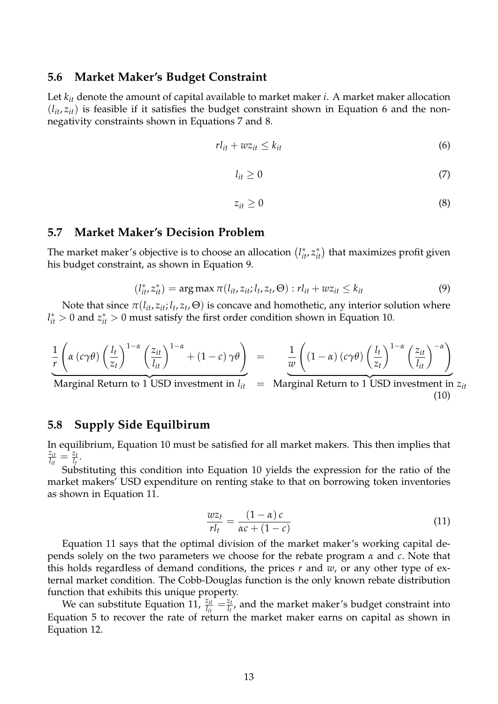#### <span id="page-14-0"></span>**5.6 Market Maker's Budget Constraint**

Let *kit* denote the amount of capital available to market maker *i*. A market maker allocation  $(l_{it}, z_{it})$  is feasible if it satisfies the budget constraint shown in Equation 6 and the nonnegativity constraints shown in Equations 7 and 8.

$$
rl_{it} + wz_{it} \le k_{it} \tag{6}
$$

$$
l_{it} \geq 0 \tag{7}
$$

$$
z_{it} \geq 0 \tag{8}
$$

#### <span id="page-14-1"></span>**5.7 Market Maker's Decision Problem**

The market maker's objective is to choose an allocation  $(l_{it}^*, z_{it}^*)$  that maximizes profit given his budget constraint, as shown in Equation 9.

$$
(l_{it}^*, z_{it}^*) = \arg \max \pi(l_{it}, z_{it}; l_t, z_t, \Theta) : rl_{it} + wz_{it} \le k_{it}
$$
 (9)

Note that since  $\pi(l_{it}, z_{it}; l_t, z_t, \Theta)$  is concave and homothetic, any interior solution where  $l_{it}^* > 0$  and  $z_{it}^* > 0$  must satisfy the first order condition shown in Equation 10.

$$
\frac{1}{r}\left(\alpha\left(c\gamma\theta\right)\left(\frac{l_t}{z_t}\right)^{1-\alpha}\left(\frac{z_{it}}{l_{it}}\right)^{1-\alpha}+(1-c)\,\gamma\theta\right) = \frac{1}{w}\left((1-\alpha)\left(c\gamma\theta\right)\left(\frac{l_t}{z_t}\right)^{1-\alpha}\left(\frac{z_{it}}{l_{it}}\right)^{-\alpha}\right)
$$

 ${\rm Marginal}$  Return to 1 USD investment in  $l_{it}$  = Marginal Return to 1 USD investment in  $z_{it}$ (10)

### <span id="page-14-2"></span>**5.8 Supply Side Equilbirum**

In equilibrium, Equation 10 must be satisfied for all market makers. This then implies that *zit*  $\frac{z_{it}}{l_{it}} = \frac{z_t}{l_t}$  $\frac{z_t}{l_t}$ .

Substituting this condition into Equation 10 yields the expression for the ratio of the market makers' USD expenditure on renting stake to that on borrowing token inventories as shown in Equation 11.

$$
\frac{wz_t}{rl_t} = \frac{(1-\alpha)c}{\alpha c + (1-c)}\tag{11}
$$

Equation 11 says that the optimal division of the market maker's working capital depends solely on the two parameters we choose for the rebate program *α* and *c*. Note that this holds regardless of demand conditions, the prices *r* and *w*, or any other type of external market condition. The Cobb-Douglas function is the only known rebate distribution function that exhibits this unique property.

We can substitute Equation 11,  $\frac{z_{it}}{l_{it}} = \frac{z_t}{l_t}$  $\frac{2t}{l_t}$ , and the market maker's budget constraint into Equation 5 to recover the rate of return the market maker earns on capital as shown in Equation 12.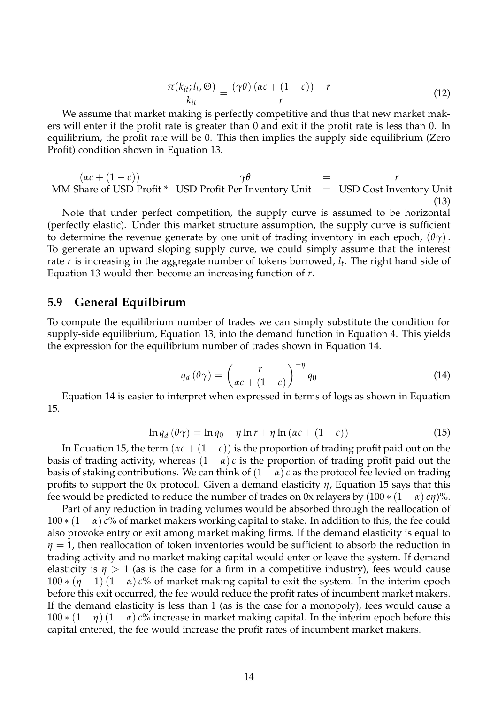$$
\frac{\pi(k_{it}; l_t, \Theta)}{k_{it}} = \frac{(\gamma \theta) (\alpha c + (1 - c)) - r}{r}
$$
(12)

We assume that market making is perfectly competitive and thus that new market makers will enter if the profit rate is greater than 0 and exit if the profit rate is less than 0. In equilibrium, the profit rate will be 0. This then implies the supply side equilibrium (Zero Profit) condition shown in Equation 13.

 $(\alpha c + (1 - c))$   $\gamma \theta$  = *r* MM Share of USD Profit  $*$  USD Profit Per Inventory Unit = USD Cost Inventory Unit (13)

Note that under perfect competition, the supply curve is assumed to be horizontal (perfectly elastic). Under this market structure assumption, the supply curve is sufficient to determine the revenue generate by one unit of trading inventory in each epoch,  $(\theta \gamma)$ . To generate an upward sloping supply curve, we could simply assume that the interest rate *r* is increasing in the aggregate number of tokens borrowed, *l<sup>t</sup>* . The right hand side of Equation 13 would then become an increasing function of *r*.

#### <span id="page-15-0"></span>**5.9 General Equilbirum**

To compute the equilibrium number of trades we can simply substitute the condition for supply-side equilibrium, Equation 13, into the demand function in Equation 4. This yields the expression for the equilibrium number of trades shown in Equation 14.

$$
q_d(\theta \gamma) = \left(\frac{r}{\alpha c + (1 - c)}\right)^{-\eta} q_0 \tag{14}
$$

Equation 14 is easier to interpret when expressed in terms of logs as shown in Equation 15.

$$
\ln q_d(\theta \gamma) = \ln q_0 - \eta \ln r + \eta \ln (\alpha c + (1 - c)) \tag{15}
$$

In Equation 15, the term  $(\alpha c + (1 - c))$  is the proportion of trading profit paid out on the basis of trading activity, whereas  $(1 - \alpha) c$  is the proportion of trading profit paid out the basis of staking contributions. We can think of  $(1 - \alpha) c$  as the protocol fee levied on trading profits to support the 0x protocol. Given a demand elasticity *η*, Equation 15 says that this fee would be predicted to reduce the number of trades on 0x relayers by  $(100 * (1 - \alpha) c\eta)$ %.

Part of any reduction in trading volumes would be absorbed through the reallocation of  $100 * (1 - \alpha)$  *c*% of market makers working capital to stake. In addition to this, the fee could also provoke entry or exit among market making firms. If the demand elasticity is equal to *η* = 1, then reallocation of token inventories would be sufficient to absorb the reduction in trading activity and no market making capital would enter or leave the system. If demand elasticity is  $\eta > 1$  (as is the case for a firm in a competitive industry), fees would cause  $100 * (\eta - 1) (1 - \alpha) c$ % of market making capital to exit the system. In the interim epoch before this exit occurred, the fee would reduce the profit rates of incumbent market makers. If the demand elasticity is less than 1 (as is the case for a monopoly), fees would cause a  $100 * (1 - \eta) (1 - \alpha) c$ % increase in market making capital. In the interim epoch before this capital entered, the fee would increase the profit rates of incumbent market makers.